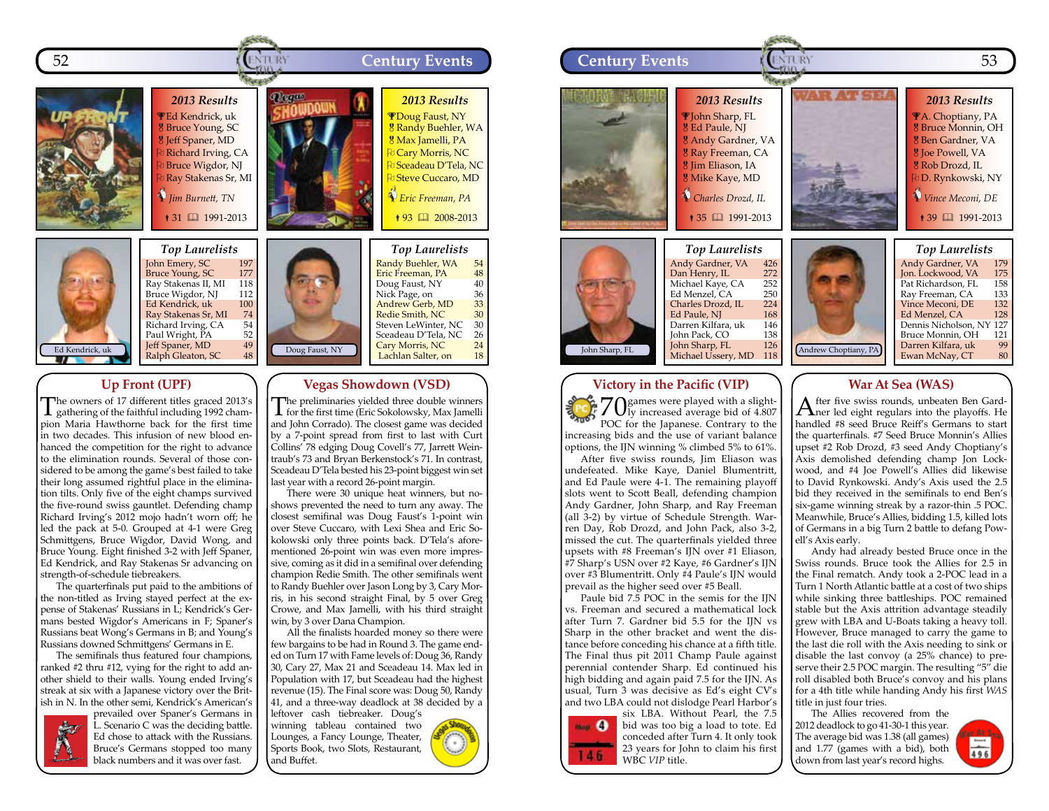



#### John Emery, SC 197<br>Bruce Young, SC 177 **Bruce Young, SC 177<br>Rav Stakenas II. MI** 118 Ray Stakenas II, MI 118<br>Bruce Wigdor, NI 112 Bruce Wigdor, NJ 112<br>Ed Kendrick, uk 100 Ed Kendrick, uk 100<br>Ray Stakenas Sr, MI 74 Ray Stakenas Sr, MI 74<br>Richard Irving, CA 54 Richard Irving, CA 54<br>Paul Wright, PA 52 Paul Wright, PA 52<br>**Jeff Spaner, MD** 49 Jeff Spaner, MD 49<br>Ralph Gleaton, SC 48

#### **Up Front (UPF)**

The owners of 17 different titles graced 2013's gathering of the faithful including 1992 champion Maria Hawthorne back for the first time in two decades. This infusion of new blood enhanced the competition for the right to advance to the elimination rounds. Several of those considered to be among the game's best failed to take their long assumed rightful place in the elimination tilts. Only five of the eight champs survived the five-round swiss gauntlet. Defending champ Richard Irving's 2012 mojo hadn't worn off; he led the pack at 5-0. Grouped at 4-1 were Greg Schmittgens, Bruce Wigdor, David Wong, and Bruce Young. Eight finished 3-2 with Jeff Spaner, Ed Kendrick, and Ray Stakenas Sr advancing on strength-of-schedule tiebreakers.

The quarterfinals put paid to the ambitions of the non-titled as Irving stayed perfect at the expense of Stakenas' Russians in L; Kendrick's Germans bested Wigdor's Americans in F; Spaner's Russians beat Wong's Germans in B; and Young's Russians downed Schmittgens' Germans in E.

The semifinals thus featured four champions, ranked #2 thru #12, vying for the right to add another shield to their walls. Young ended Irving's streak at six with a Japanese victory over the British in N. In the other semi, Kendrick's American's



prevailed over Spaner's Germans in L. Scenario C was the deciding battle. Ed chose to attack with the Russians. Bruce's Germans stopped too many black numbers and it was over fast.

The preliminaries yielded three double winners for the first time (Eric Sokolowsky, Max Jamelli and John Corrado). The closest game was decided by a 7-point spread from first to last with Curt Collins' 78 edging Doug Covell's 77, Jarrett Weintraub's 73 and Bryan Berkenstock's 71. In contrast, Sceadeau D'Tela bested his 23-point biggest win set

**Vegas Showdown (VSD)**

Eric Freeman, PA  $\qquad \quad \text{48}$ <br>Doug Faust. NY  $\qquad \quad \text{40}$ Doug Faust, NY 40<br>Nick Page, on 36 Nick Page, on 36<br><del>Andrew Gerb, MD 33</del> Andrew Gerb, MD 33<br>Redie Smith, NC 30 R<mark>edie Smith, NC 30</mark><br>Steven LeWinter, NC 30 Steven LeWinter, NC 30<br>Sceadeau D'Tela, NC 26 Sceadeau D'Tela, NC Cary Morris, NC 24<br>Lachlan Salter, on 18 Lachlan Salter, on

Doug Faust, NY

last year with a record 26-point margin. There were 30 unique heat winners, but noshows prevented the need to turn any away. The closest semifinal was Doug Faust's 1-point win over Steve Cuccaro, with Lexi Shea and Eric Sokolowski only three points back. D'Tela's aforementioned 26-point win was even more impressive, coming as it did in a semifinal over defending champion Redie Smith. The other semifinals went to Randy Buehler over Jason Long by 3, Cary Morris, in his second straight Final, by 5 over Greg Crowe, and Max Jamelli, with his third straight win, by 3 over Dana Champion.

All the finalists hoarded money so there were few bargains to be had in Round 3. The game ended on Turn 17 with Fame levels of: Doug 36, Randy 30, Cary 27, Max 21 and Sceadeau 14. Max led in Population with 17, but Sceadeau had the highest revenue (15). The Final score was: Doug 50, Randy 41, and a three-way deadlock at 38 decided by a

leftover cash tiebreaker. Doug's winning tableau contained two Lounges, a Fancy Lounge, Theater, Sports Book, two Slots, Restaurant, and Buffet.







increasing bids and the use of variant balance options, the IJN winning % climbed 5% to 61%. After five swiss rounds, Jim Eliason was

undefeated. Mike Kaye, Daniel Blumentritt, and Ed Paule were 4-1. The remaining playoff slots went to Scott Beall, defending champion Andy Gardner, John Sharp, and Ray Freeman (all 3-2) by virtue of Schedule Strength. Warren Day, Rob Drozd, and John Pack, also 3-2, missed the cut. The quarterfinals yielded three upsets with #8 Freeman's IJN over #1 Eliason, #7 Sharp's USN over #2 Kaye, #6 Gardner's IJN over #3 Blumentritt. Only #4 Paule's IJN would prevail as the higher seed over #5 Beall.

Paule bid 7.5 POC in the semis for the IIN vs. Freeman and secured a mathematical lock after Turn 7. Gardner bid 5.5 for the IIN vs Sharp in the other bracket and went the distance before conceding his chance at a fifth title. The Final thus pit 2011 Champ Paule against perennial contender Sharp. Ed continued his high bidding and again paid 7.5 for the IJN. As usual, Turn 3 was decisive as Ed's eight CV's and two LBA could not dislodge Pearl Harbor's



six LBA. Without Pearl, the 7.5 bid was too big a load to tote. Ed conceded after Turn 4. It only took 23 years for John to claim his first WBC *VIP* title.

### **War At Sea (WAS)**

After five swiss rounds, unbeaten Ben Gard-ner led eight regulars into the playoffs. He handled #8 seed Bruce Reiff's Germans to start the quarterfinals. #7 Seed Bruce Monnin's Allies upset #2 Rob Drozd, #3 seed Andy Choptiany's Axis demolished defending champ Jon Lockwood, and #4 Joe Powell's Allies did likewise to David Rynkowski. Andy's Axis used the 2.5 bid they received in the semifinals to end Ben's six-game winning streak by a razor-thin .5 POC. Meanwhile, Bruce's Allies, bidding 1.5, killed lots of Germans in a big Turn 2 battle to defang Powell's Axis early.

Andy had already bested Bruce once in the Swiss rounds. Bruce took the Allies for 2.5 in the Final rematch. Andy took a 2-POC lead in a Turn 1 North Atlantic battle at a cost of two ships while sinking three battleships. POC remained stable but the Axis attrition advantage steadily grew with LBA and U-Boats taking a heavy toll. However, Bruce managed to carry the game to the last die roll with the Axis needing to sink or disable the last convoy (a 25% chance) to preserve their 2.5 POC margin. The resulting "5" die roll disabled both Bruce's convoy and his plans for a 4th title while handing Andy his first *WAS* title in just four tries.

The Allies recovered from the 2012 deadlock to go 41-30-1 this year. The average bid was 1.38 (all games) and 1.77 (games with a bid), both down from last year's record highs.

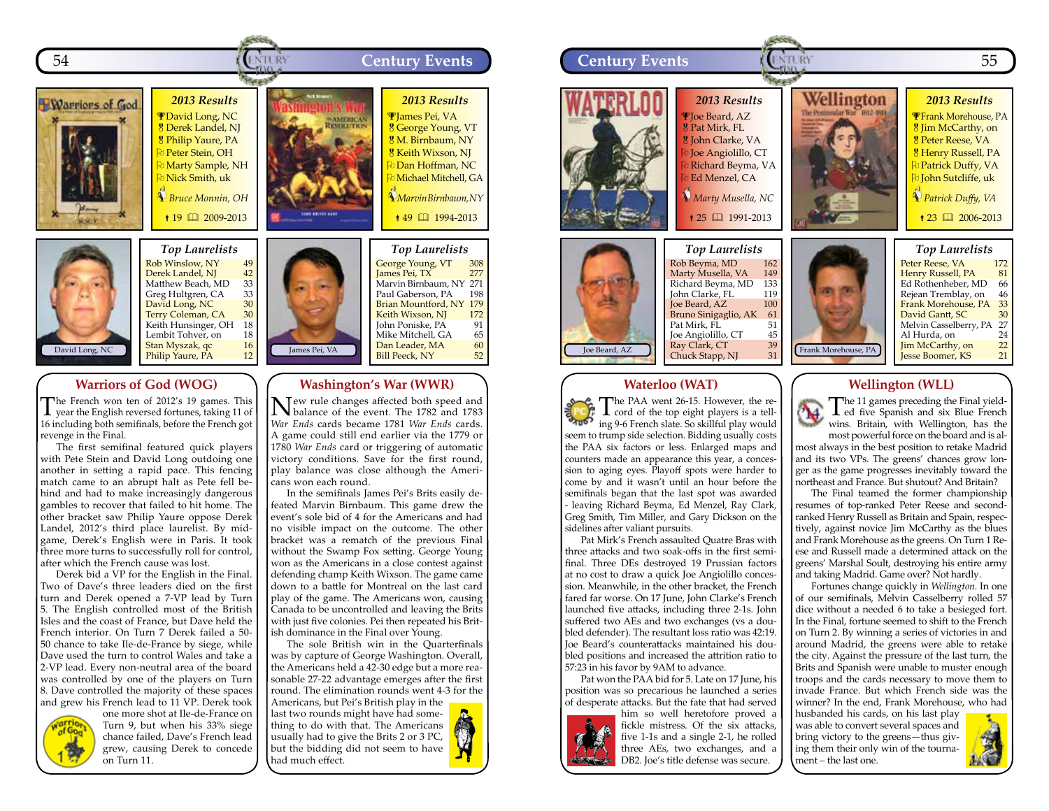



### **Warriors of God (WOG)**

The French won ten of 2012's 19 games. This year the English reversed fortunes, taking 11 of 16 including both semifinals, before the French got revenge in the Final.

The first semifinal featured quick players with Pete Stein and David Long outdoing one another in setting a rapid pace. This fencing match came to an abrupt halt as Pete fell behind and had to make increasingly dangerous gambles to recover that failed to hit home. The other bracket saw Philip Yaure oppose Derek Landel, 2012's third place laurelist. By midgame, Derek's English were in Paris. It took three more turns to successfully roll for control, after which the French cause was lost.

Derek bid a VP for the English in the Final. Two of Dave's three leaders died on the first turn and Derek opened a 7-VP lead by Turn 5. The English controlled most of the British Isles and the coast of France, but Dave held the French interior. On Turn 7 Derek failed a 50- 50 chance to take Ile-de-France by siege, while Dave used the turn to control Wales and take a 2-VP lead. Every non-neutral area of the board was controlled by one of the players on Turn 8. Dave controlled the majority of these spaces and grew his French lead to 11 VP. Derek took



one more shot at Ile-de-France on Turn 9, but when his 33% siege chance failed, Dave's French lead grew, causing Derek to concede on Turn 11.



#### **Washington's War (WWR)**

New rule changes affected both speed and balance of the event. The 1782 and 1783 *War Ends* cards became 1781 *War Ends* cards. A game could still end earlier via the 1779 or 1780 *War Ends* card or triggering of automatic victory conditions. Save for the first round, play balance was close although the Americans won each round.

Marvin Birnbaum, NY 271<br>Paul Gaberson, PA 198 Paul Gaberson, PA Brian Mountford, NY 179<br>Keith Wixson, NI 172 **Keith Wixson, NJ 172**<br>John Poniske, PA 91

In the semifinals James Pei's Brits easily defeated Marvin Birnbaum. This game drew the event's sole bid of 4 for the Americans and had no visible impact on the outcome. The other bracket was a rematch of the previous Final without the Swamp Fox setting. George Young won as the Americans in a close contest against defending champ Keith Wixson. The game came down to a battle for Montreal on the last card play of the game. The Americans won, causing Canada to be uncontrolled and leaving the Brits with just five colonies. Pei then repeated his British dominance in the Final over Young.

The sole British win in the Quarterfinals was by capture of George Washington. Overall, the Americans held a 42-30 edge but a more reasonable 27-22 advantage emerges after the first round. The elimination rounds went 4-3 for the Americans, but Pei's British play in the

last two rounds might have had something to do with that. The Americans usually had to give the Brits 2 or 3 PC, but the bidding did not seem to have had much effect.



### **Waterloo (WAT)**

The PAA went 26-15. However, the re-<br>cord of the top eight players is a telling 9-6 French slate. So skillful play would seem to trump side selection. Bidding usually costs the PAA six factors or less. Enlarged maps and counters made an appearance this year, a concession to aging eyes. Playoff spots were harder to come by and it wasn't until an hour before the semifinals began that the last spot was awarded - leaving Richard Beyma, Ed Menzel, Ray Clark, Greg Smith, Tim Miller, and Gary Dickson on the sidelines after valiant pursuits.

Pat Mirk's French assaulted Quatre Bras with three attacks and two soak-offs in the first semifinal. Three DEs destroyed 19 Prussian factors at no cost to draw a quick Joe Angiolillo concession. Meanwhile, in the other bracket, the French fared far worse. On 17 June, John Clarke's French launched five attacks, including three 2-1s. John suffered two AEs and two exchanges (vs a doubled defender). The resultant loss ratio was 42:19. Joe Beard's counterattacks maintained his doubled positions and increased the attrition ratio to 57:23 in his favor by 9AM to advance.

Pat won the PAA bid for 5. Late on 17 June, his position was so precarious he launched a series of desperate attacks. But the fate that had served



him so well heretofore proved a fickle mistress. Of the six attacks, five 1-1s and a single 2-1, he rolled three AEs, two exchanges, and a DB2. Joe's title defense was secure.

#### **Wellington (WLL)**

The 11 games preceding the Final yield-ed five Spanish and six Blue French wins. Britain, with Wellington, has the most powerful force on the board and is al-

most always in the best position to retake Madrid and its two VPs. The greens' chances grow longer as the game progresses inevitably toward the northeast and France. But shutout? And Britain?

The Final teamed the former championship resumes of top-ranked Peter Reese and secondranked Henry Russell as Britain and Spain, respectively, against novice Jim McCarthy as the blues and Frank Morehouse as the greens. On Turn 1 Reese and Russell made a determined attack on the greens' Marshal Soult, destroying his entire army and taking Madrid. Game over? Not hardly.

Fortunes change quickly in *Wellington*. In one of our semifinals, Melvin Casselberry rolled 57 dice without a needed 6 to take a besieged fort. In the Final, fortune seemed to shift to the French on Turn 2. By winning a series of victories in and around Madrid, the greens were able to retake the city. Against the pressure of the last turn, the Brits and Spanish were unable to muster enough troops and the cards necessary to move them to invade France. But which French side was the winner? In the end, Frank Morehouse, who had

husbanded his cards, on his last play was able to convert several spaces and bring victory to the greens—thus giving them their only win of the tournament – the last one.

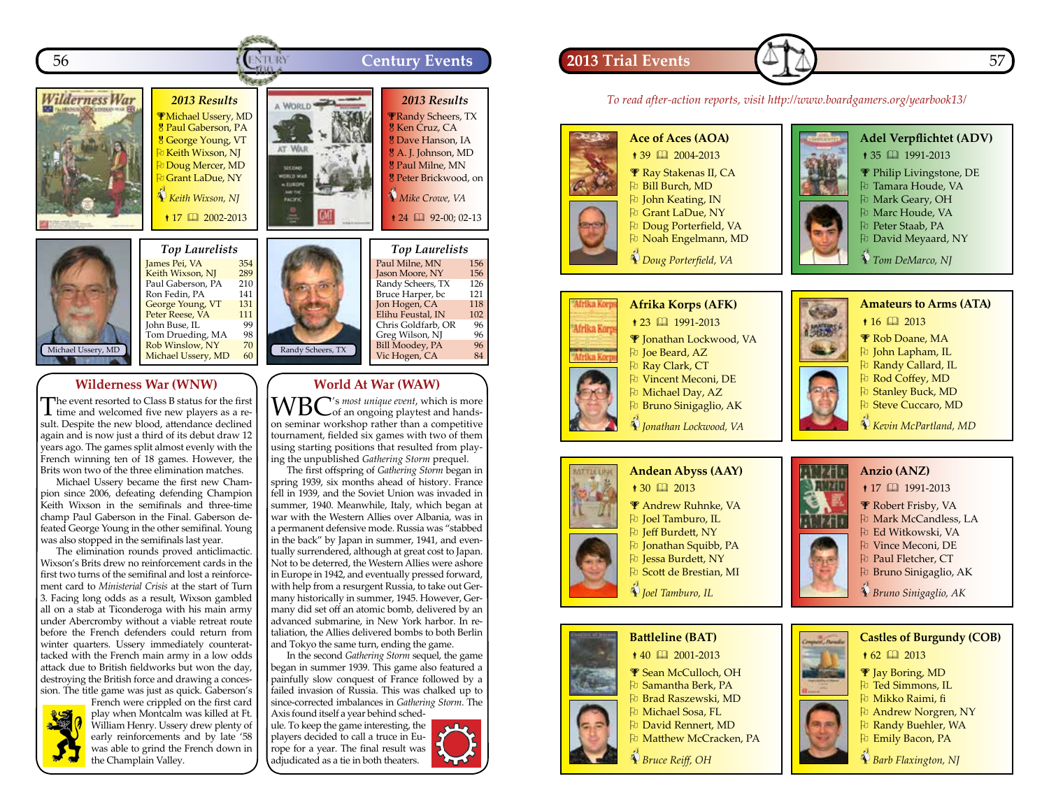



*Top Laurelists* James Pei, VA 354 Keith Wixson, NJ 289 Paul Gaberson, PA 210<br>Ron Fedin, PA 141 Ron Fedin, PA<br>George Young, VT 131 George Young, VT 131<br>Peter Reese, VA 111 Peter Reese, VA 111 John Buse, IL 99<br>Tom Drueding, MA 98 Tom Drueding, MA 98<br>Rob Winslow, NY 70 Rob Winslow, NY 70<br>Michael Usserv, MD 60 Michael Ussery, MD

### **Wilderness War (WNW)**

The event resorted to Class B status for the first time and welcomed five new players as a result. Despite the new blood, attendance declined again and is now just a third of its debut draw 12 years ago. The games split almost evenly with the French winning ten of 18 games. However, the Brits won two of the three elimination matches.

Michael Ussery became the first new Champion since 2006, defeating defending Champion Keith Wixson in the semifinals and three-time champ Paul Gaberson in the Final. Gaberson defeated George Young in the other semifinal. Young was also stopped in the semifinals last year.

The elimination rounds proved anticlimactic. Wixson's Brits drew no reinforcement cards in the first two turns of the semifinal and lost a reinforcement card to *Ministerial Crisis* at the start of Turn 3. Facing long odds as a result, Wixson gambled all on a stab at Ticonderoga with his main army under Abercromby without a viable retreat route before the French defenders could return from winter quarters. Ussery immediately counterattacked with the French main army in a low odds attack due to British fieldworks but won the day, destroying the British force and drawing a concession. The title game was just as quick. Gaberson's



French were crippled on the first card play when Montcalm was killed at Ft. William Henry. Ussery drew plenty of early reinforcements and by late '58 was able to grind the French down in the Champlain Valley.



#### **World At War (WAW)**

WBC's most unique event, which is more<br> **WBC** of an ongoing playtest and handson seminar workshop rather than a competitive tournament, fielded six games with two of them using starting positions that resulted from playing the unpublished *Gathering Storm* prequel.

The first offspring of *Gathering Storm* began in spring 1939, six months ahead of history. France fell in 1939, and the Soviet Union was invaded in summer, 1940. Meanwhile, Italy, which began at war with the Western Allies over Albania, was in a permanent defensive mode. Russia was "stabbed in the back" by Japan in summer, 1941, and eventually surrendered, although at great cost to Japan. Not to be deterred, the Western Allies were ashore in Europe in 1942, and eventually pressed forward, with help from a resurgent Russia, to take out Germany historically in summer, 1945. However, Germany did set off an atomic bomb, delivered by an advanced submarine, in New York harbor. In retaliation, the Allies delivered bombs to both Berlin and Tokyo the same turn, ending the game.

In the second *Gathering Storm* sequel, the game began in summer 1939. This game also featured a painfully slow conquest of France followed by a failed invasion of Russia. This was chalked up to since-corrected imbalances in *Gathering Storm*. The

Axis found itself a year behind schedule. To keep the game interesting, the players decided to call a truce in Europe for a year. The final result was adjudicated as a tie in both theaters.



## **2013 Trial Events** 57

*To read after-action reports, visit http://www.boardgamers.org/yearbook13/*









Philip Livingstone, DE

- **P** Tamara Houde, VA
- O  Mark Geary, OH
- 
- O  David Meyaard, NY

 *Tom DeMarco, NJ*







- Pu Randy Callard, IL Pu Rod Coffey, MD
- **Pu** Stanley Buck, MD
- Pu Steve Cuccaro, MD
- *Kevin McPartland, MD*



 *Joel Tamburo, IL*



**Battleline (BAT)**  $*$  40  $\Box$  2001-2013

 Sean McCulloch, OH O  Samantha Berk, PA O  Brad Raszewski, MD O  Michael Sosa, FL O  David Rennert, MD

**D** Matthew McCracken, PA

 *Bruce Reiff, OH*



**Anzio (ANZ)**